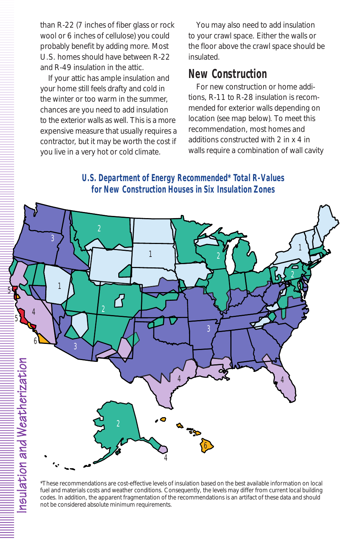**U.S. Department of Energy Recommended\* Total R-Values for New Construction Houses in Six Insulation Zones**



\*These recommendations are cost-effective levels of insulation based on the best available information on local fuel and materials costs and weather conditions. Consequently, the levels may differ from current local building codes. In addition, the apparent fragmentation of the recommendations is an artifact of these data and should not be considered absolute minimum requirements.

<u>ଟ</u>  $\frac{a}{a}$